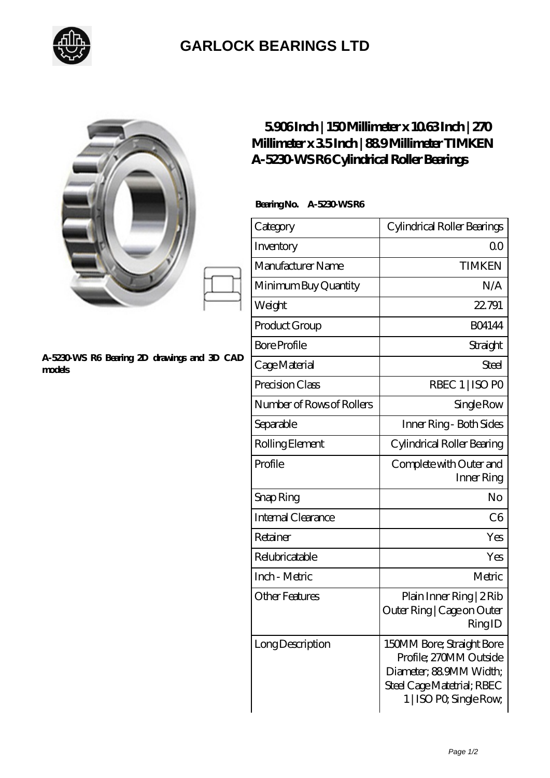

## **[GARLOCK BEARINGS LTD](https://m.letterstopriests.com)**

|                                                       | 5906Inch   150Millimeter x 1063Inch   270<br>Millimeter x 35Inch   889Millimeter TIMKEN<br>A-5230 WS R6Cylindrical Roller Bearings |                                                                                                                                         |
|-------------------------------------------------------|------------------------------------------------------------------------------------------------------------------------------------|-----------------------------------------------------------------------------------------------------------------------------------------|
|                                                       | Bearing No. A-5230 WSR6                                                                                                            |                                                                                                                                         |
|                                                       | Category                                                                                                                           | Cylindrical Roller Bearings                                                                                                             |
|                                                       | Inventory                                                                                                                          | 0 <sup>0</sup>                                                                                                                          |
|                                                       | Manufacturer Name                                                                                                                  | <b>TIMKEN</b>                                                                                                                           |
|                                                       | Minimum Buy Quantity                                                                                                               | N/A                                                                                                                                     |
|                                                       | Weight                                                                                                                             | 22.791                                                                                                                                  |
| A-5230 WS R6 Bearing 2D drawings and 3D CAD<br>models | Product Group                                                                                                                      | <b>BO4144</b>                                                                                                                           |
|                                                       | <b>Bore Profile</b>                                                                                                                | Straight                                                                                                                                |
|                                                       | Cage Material                                                                                                                      | <b>Steel</b>                                                                                                                            |
|                                                       | Precision Class                                                                                                                    | RBEC 1   ISO PO                                                                                                                         |
|                                                       | Number of Rows of Rollers                                                                                                          | Single Row                                                                                                                              |
|                                                       | Separable                                                                                                                          | Inner Ring - Both Sides                                                                                                                 |
|                                                       | Rolling Element                                                                                                                    | Cylindrical Roller Bearing                                                                                                              |
|                                                       | Profile                                                                                                                            | Complete with Outer and<br>Inner Ring                                                                                                   |
|                                                       | Snap Ring                                                                                                                          | N <sub>o</sub>                                                                                                                          |
|                                                       | Internal Clearance                                                                                                                 | C6                                                                                                                                      |
|                                                       | Retainer                                                                                                                           | Yes                                                                                                                                     |
|                                                       | Relubricatable                                                                                                                     | Yes                                                                                                                                     |
|                                                       | Inch - Metric                                                                                                                      | Metric                                                                                                                                  |
|                                                       | <b>Other Features</b>                                                                                                              | Plain Inner Ring   2 Rib<br>Outer Ring   Cage on Outer<br>RingID                                                                        |
|                                                       | LongDescription                                                                                                                    | 150MM Bore; Straight Bore<br>Profile; 270MM Outside<br>Diameter; 88 9MM Width;<br>Steel Cage Matetrial; RBEC<br>1   ISO PO, Single Row, |